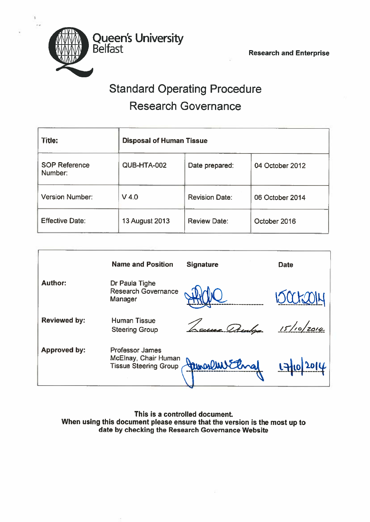

Queen's University

# Standard Operating Procedure Research Governance

| Title:                          | <b>Disposal of Human Tissue</b> |                       |                 |
|---------------------------------|---------------------------------|-----------------------|-----------------|
| <b>SOP Reference</b><br>Number: | QUB-HTA-002                     | Date prepared:        | 04 October 2012 |
| <b>Version Number:</b>          | $V$ 4.0                         | <b>Revision Date:</b> | 06 October 2014 |
| <b>Effective Date:</b>          | <b>13 August 2013</b>           | <b>Review Date:</b>   | October 2016    |

|                     | <b>Name and Position</b>                                                       | <b>Signature</b> | <b>Date</b> |
|---------------------|--------------------------------------------------------------------------------|------------------|-------------|
| <b>Author:</b>      | Dr Paula Tighe<br><b>Research Governance</b><br>Manager                        |                  |             |
| <b>Reviewed by:</b> | <b>Human Tissue</b><br><b>Steering Group</b>                                   | e Am             | 15/10/2014  |
| <b>Approved by:</b> | <b>Professor James</b><br>McElnay, Chair Human<br><b>Tissue Steering Group</b> |                  |             |

This is <sup>a</sup> controlled document When using this document <sup>p</sup>lease ensure that the version is the most up to date by checking the Research Governance Website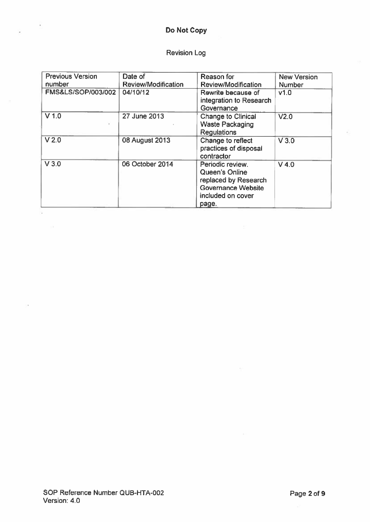# Do Not Copy

ī

# Revision Log

| <b>Previous Version</b> | Date of                    | Reason for                                                                                                            | <b>New Version</b> |
|-------------------------|----------------------------|-----------------------------------------------------------------------------------------------------------------------|--------------------|
| number                  | <b>Review/Modification</b> | <b>Review/Modification</b>                                                                                            | <b>Number</b>      |
| FMS&LS/SOP/003/002      | 04/10/12                   | Rewrite because of<br>integration to Research<br>Governance                                                           | v1.0               |
| $V$ 1.0                 | 27 June 2013               | <b>Change to Clinical</b><br><b>Waste Packaging</b><br><b>Regulations</b>                                             | V <sub>2.0</sub>   |
| V <sub>2.0</sub>        | 08 August 2013             | Change to reflect<br>practices of disposal<br>contractor                                                              | V3.0               |
| V3.0                    | 06 October 2014            | Periodic review.<br>Queen's Online<br>replaced by Research<br><b>Governance Website</b><br>included on cover<br>page. | $V$ 4.0            |

 $\sim$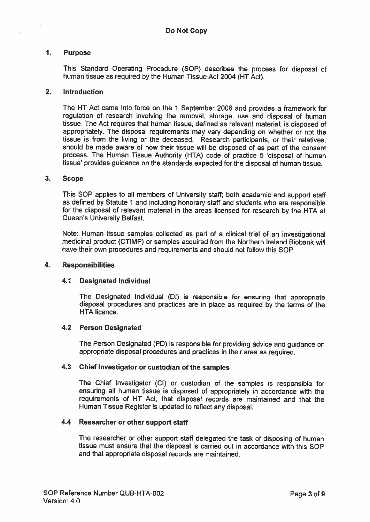# 1. Purpose

This Standard Operating Procedure (SOP) describes the process for disposal of human tissue as required by the Human Tissue Act 2004 (HT Act).

#### 2. Introduction

The HT Act came into force on the 1 September 2006 and provides <sup>a</sup> framework for regulation of research involving the removal, storage, use and disposal of human tissue. The Act requires that human tissue, defined as relevant material, is disposed of appropriately. The disposal requirements may vary depending on whether or not the tissue is from the living or the deceased. Research participants, or their relatives, should be made aware of how their tissue will be disposed of as part of the consent process. The Human Tissue Authority (HTA) code of practice 5 'disposal of human tissue' provides guidance on the standards expected for the disposal of human tissue.

#### 3. Scope

This SOP applies to all members of University staff; both academic and suppor<sup>t</sup> staff as defined by Statute <sup>1</sup> and including honorary staff and students who are responsible for the disposal of relevant material in the areas licensed for research by the HTA at Queen's University Belfast.

Note: Human tissue samples collected as par<sup>t</sup> of <sup>a</sup> clinical trial of an investigational medicinal product (CTIMP) or samples acquired from the Northern Ireland Biobank will have their own procedures and requirements and should not follow this SOP.

#### 4. Responsibilities

#### 4.1 Designated Individual

The Designated Individual (Dl) is responsible for ensuring that appropriate disposal procedures and practices are in <sup>p</sup>lace as required by the terms of the HTA licence.

# 4.2 Person Designated

The Person Designated (PD) is responsible for providing advice and guidance on appropriate disposal procedures and practices in their area as required.

#### 4.3 Chief Investigator or custodian of the samples

The Chief Investigator (Cl) or custodian of the samples is responsible for ensuring all human tissue is disposed of appropriately in accordance with the requirements of HT Act, that disposal records are maintained and that the Human Tissue Register is updated to reflect any disposal.

# 4.4 Researcher or other suppor<sup>t</sup> staff

The researcher or other suppor<sup>t</sup> staff delegated the task of disposing of human tissue must ensure that the disposal is carried out in accordance with this SOP and that appropriate disposal records are maintained.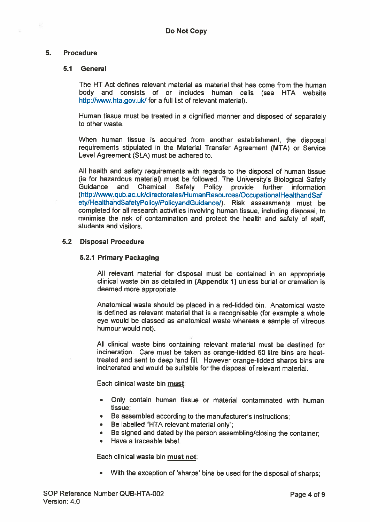# 5. Procedure

# 5.1 General

The HT Act defines relevant material as material that has come from the human body and consists of or includes human cells (see HTA website http://www.hta.gov.uk/ for a full list of relevant material).

Human tissue must be treated in <sup>a</sup> dignified manner and disposed of separately to other waste.

When human tissue is acquired from another establishment, the disposal requirements stipulated in the Material Transfer Agreement (MTA) or Service Level Agreement (SLA) must be adhered to.

All health and safety requirements with regards to the disposal of human tissue (ie for hazardous material) must be followed. The University's Biological Safety Chemical Safety Policy provide further information (hllp://www.qub.ac.uk/directorates/HumanResources/OccupationalHealthandsaf ety/HealthahdSafetyPolicy/PolicyandGuidance/). Risk assessments must be completed for all research activities involving human tissue, including disposal, to minimise the risk of contamination and protect the health and safety of staff, students and visitors.

# 5.2 Disposal Procedure

# 5.2.1 Primary Packaging

All relevant material for disposal must be contained in an appropriate clinical waste bin as detailed in (Appendix 1) unless burial or cremation is deemed more appropriate.

Anatomical waste should be placed in <sup>a</sup> red-lidded bin. Anatomical waste is defined as relevant material that is <sup>a</sup> recognisable (for example <sup>a</sup> whole eye would be classed as anatomical waste whereas <sup>a</sup> sample of vitreous humour would not).

All clinical waste bins containing relevant material must be destined for incineration. Care must be taken as orange-lidded 60 litre bins are heattreated and sent to deep land fill. However orange-lidded sharps bins are incinerated and would be suitable for the disposal of relevant material.

Each clinical waste bin must:

- Only contain human tissue or material contaminated with human tissue;
- Be assembled according to the manufacturer's instructions;
- Be labelled 'HTA relevant material only;
- •Be signed and dated by the person assembling/closing the container;
- •Have <sup>a</sup> traceable label.

Each clinical waste bin must not:

• With the exception of 'sharps' bins be used for the disposal of sharps;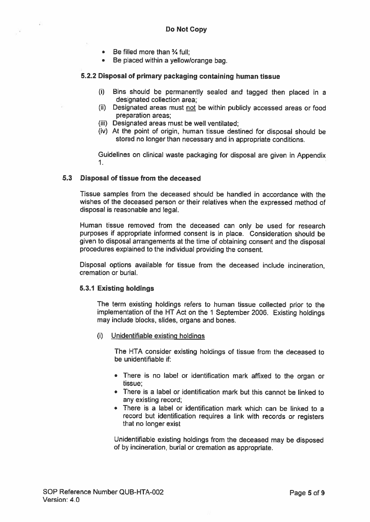- $\bullet$   $\;$  Be filled more than  $\%$  full;
- Be <sup>p</sup>laced within <sup>a</sup> yellow/orange bag

#### 5.2.2 Disposal of primary packaging containing human tissue

- (i) Bins should be permanently sealed and tagged then <sup>p</sup>laced in <sup>a</sup> designated collection area;
- (ii) Designated areas must not be within publicly accessed areas or food preparation areas;
- (iii) Designated areas must be well ventilated;
- (iv) At the point of origin, human tissue destined for disposal should be stored no longer than necessary and in appropriate conditions.

Guidelines on clinical waste packaging for disposal are <sup>g</sup>iven in Appendix 1.

#### 5.3 Disposal of tissue from the deceased

Tissue samples from the deceased should be handled in accordance with the wishes of the deceased person or their relatives when the expresse<sup>d</sup> method of disposal is reasonable and legal.

Human tissue removed from the deceased can only be used for research purposes if appropriate informed consent is in place. Consideration should be <sup>g</sup>iven to disposal arrangements at the time of obtaining consent and the disposal procedures explained to the individual providing the consent.

Disposal options available for tissue from the deceased include incineration, cremation or burial.

#### 5.3.1 Existing holdings

The term existing holdings refers to human tissue collected prior to the implementation of the NT Act on the <sup>1</sup> September 2006. Existing holdings may include blocks, slides, organs and bones.

(i) Unidentifiable existing holdings

The HTA consider existing holdings of tissue from the deceased to be unidentifiable if:

- There is no label or identification mark affixed to the organ or tissue;
- There is <sup>a</sup> label or identification mark but this cannot be linked to any existing record;
- There is <sup>a</sup> label or identification mark which can be linked to <sup>a</sup> record but identification requires <sup>a</sup> link with records or registers that no longer exist

Unidentifiable existing holdings from the deceased may be disposed of by incineration, burial or cremation as appropriate.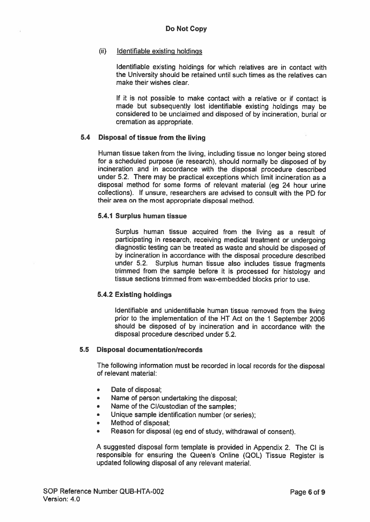#### (ü) Identifiable existing holdings

Identifiable existing holdings for which relatives are in contact with the University should be retained until such times as the relatives can make their wishes clear.

If it is not possible to make contact with <sup>a</sup> relative or if contact is made but subsequently lost identifiable existing holdings may be considered to be unclaimed and disposed of by incineration, burial or cremation as appropriate.

# 5.4 Disposal of tissue from the living

Human tissue taken from the living, including tissue no longer being stored for <sup>a</sup> scheduled purpose (ie research), should normally be disposed of by incineration and in accordance with the disposal procedure described under 5.2. There may be practical exceptions which limit incineration as <sup>a</sup> disposal method for some forms of relevant material (eg <sup>24</sup> hour urine collections). If unsure, researchers are advised to consult with the PD for their area on the most appropriate disposal method.

# 5.4.1 Surplus human tissue

Surplus human tissue acquired from the living as <sup>a</sup> result of participating in research, receiving medical treatment or undergoing diagnostic testing can be treated as waste and should be disposed of by incineration in accordance with the disposal procedure described under 5.2. Surplus human tissue also includes tissue fragments trimmed from the sample before it is processe<sup>d</sup> for histology and tissue sections trimmed from wax-embedded blocks prior to use.

# 5.4.2 Existing holdings

Identifiable and unidentifiable human tissue removed from the living prior to the implementation of the HT Act on the <sup>1</sup> September <sup>2006</sup> should be disposed of by incineration and in accordance with the disposal procedure described under 5.2.

# 5.5 Disposal documentation/records

The following information must be recorded in local records for the disposal of relevant material:

- •Date of disposal;
- •Name of person undertaking the disposal;
- •Name of the Cl/custodian of the samples;
- •Unique sample identification number (or series);
- •Method of disposal;
- •Reason for disposal (eg end of study, withdrawal of consent).

<sup>A</sup> suggested disposal form template is provided in Appendix 2. The CI is responsible for ensuring the Queen's Online (QOL) Tissue Register is updated following disposal of any relevant material.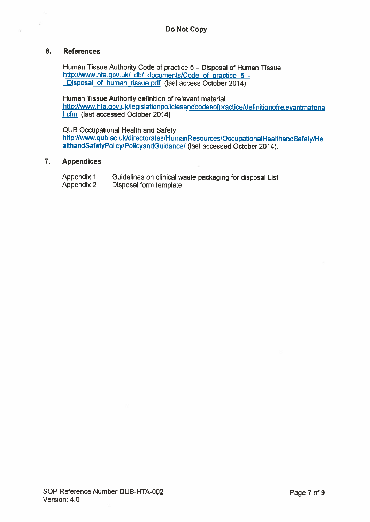# 6. References

Human Tissue Authority Code of practice 5— Disposal of Human Tissue http://www.hta.gov.uk/ db/ documents/Code of practice 5 -Disposal of human tissue.pdf (last access October 2014)

Human Tissue Authority definition of relevant material http://www.hta.gov.ukllegislationpoliciesandcodesofpractice/definitionofrelevantmateria l.cfm (last accessed October 2014)

QUB Occupational Health and Safety http://www.qub.ac.uk/directorates/HumanResources/OccupationalHealthandSafety/He althandSafetyPolicy/Policyandcuidance/ (last accessed October 2014).

#### 7. Appendices

| Appendix 1 | Guidelines on clinical waste packaging for disposal List |
|------------|----------------------------------------------------------|
| Appendix 2 | Disposal form template                                   |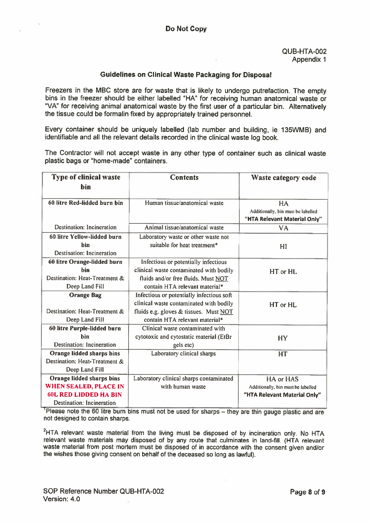# Guidelines on Clinical Waste Packaging for Disposal

Freezers in the MBC store are for waste that is likely to undergo putrefaction. The empty bins in the freezer should be either labelled "HA" for receiving human anatomical waste or "VA" for receiving animal anatomical waste by the first user of <sup>a</sup> particular bin. Alternatively the tissue could be formalin fixed by appropriately trained personnel.

Every container should be uniquely labelled (lab number and building, ie I35WMB) and identifiable and all the relevant details recorded in the clinical waste log book.

The Contractor will not accep<sup>t</sup> waste in any other type of container such as clinical waste plastic bags or "home-made" containers.

| <b>Type of clinical waste</b>    | <b>Contents</b>                           | Waste category code                                                      |
|----------------------------------|-------------------------------------------|--------------------------------------------------------------------------|
| hin                              |                                           |                                                                          |
| 60 litre Red-lidded burn bin     | Human tissue/anatomical waste             | HA<br>Additionally, bin must be labelled<br>"HTA Relevant Material Only" |
| Destination: Incineration        | Animal tissue/anatomical waste            | <b>VA</b>                                                                |
| 60 litre Yellow-lidded burn      | Laboratory waste or other waste not       |                                                                          |
| hin<br>Destination: Incineration | suitable for heat treatment*              | HI                                                                       |
| 60 litre Orange-lidded burn      | Infectious or potentially infectious      |                                                                          |
| <b>hin</b>                       | clinical waste contaminated with bodily   | HT or HL                                                                 |
| Destination: Heat-Treatment &    | fluids and/or free fluids. Must NOT       |                                                                          |
| Deep Land Fill                   | contain HTA relevant material*            |                                                                          |
| <b>Orange Bag</b>                | Infectious or potentially infectious soft |                                                                          |
|                                  | clinical waste contaminated with bodily   | HT or HL                                                                 |
| Destination: Heat-Treatment &    | fluids e.g. gloves & tissues. Must NOT    |                                                                          |
| Deep Land Fill                   | contain HTA relevant material*            |                                                                          |
| 60 litre Purple-lidded burn      | Clinical waste contaminated with          |                                                                          |
| hin                              | cytotoxic and cytostatic material (EtBr   | HY                                                                       |
| Destination: Incineration        | gels etc)                                 |                                                                          |
| Orange lidded sharps bins        | Laboratory clinical sharps                | HT                                                                       |
| Destination: Heat-Treatment &    |                                           |                                                                          |
| Deep Land Fill                   |                                           |                                                                          |
| Orange lidded sharps bins        | Laboratory clinical sharps contaminated   | HA or HAS                                                                |
| <b>WHEN SEALED, PLACE IN</b>     | with human waste                          | Additionally, bin must be labelled                                       |
| <b>60L RED LIDDED HA BIN</b>     |                                           | "HTA Relevant Material Only"                                             |
| Destination: Incineration        |                                           |                                                                          |

<sup>1</sup>Please note the 60 litre burn bins must not be used for sharps – they are thin gauge plastic and are not designed to contain sharps.

<sup>2</sup>HTA relevant waste material from the living must be disposed of by incineration only. No HTA relevant waste materials may disposed of by any route that culminates in land-fill. (HTA relevant waste material from pos<sup>t</sup> mortem must be disposed of in accordance with the consent <sup>g</sup>iven and/or the wishes those <sup>g</sup>iving consent on behalf of the deceased so long as lawful).